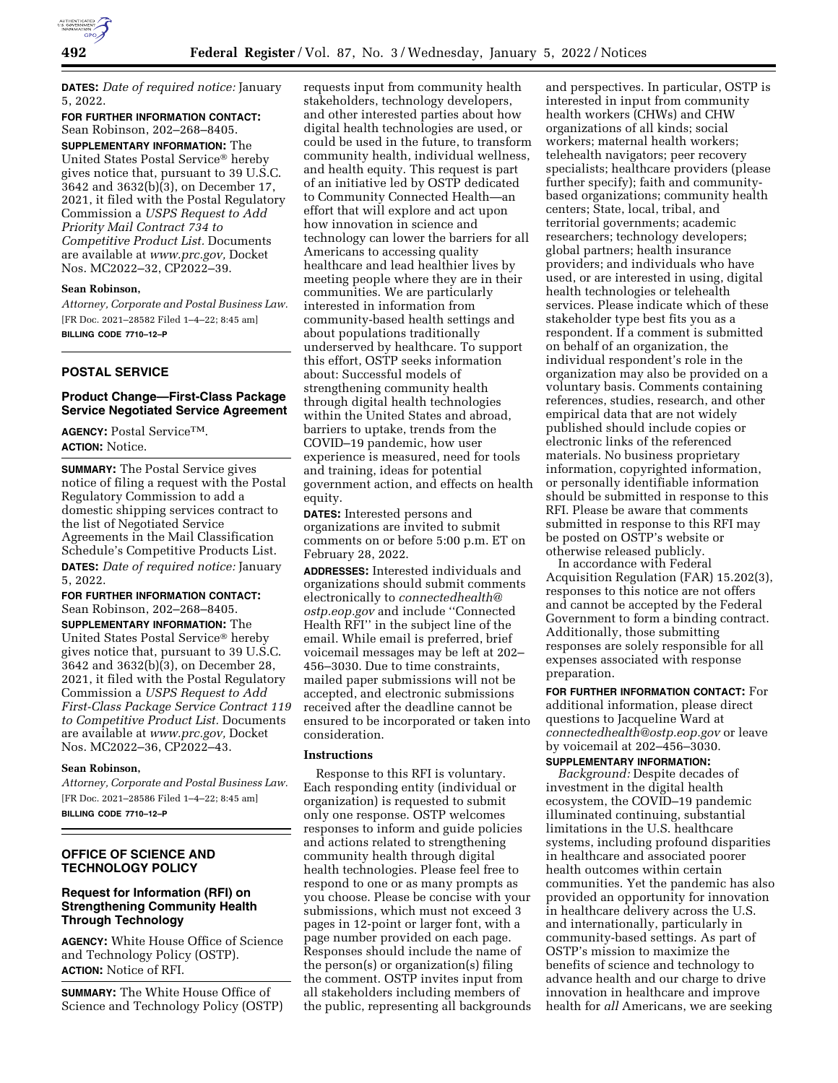

**DATES:** *Date of required notice:* January 5, 2022.

**FOR FURTHER INFORMATION CONTACT:**  Sean Robinson, 202–268–8405. **SUPPLEMENTARY INFORMATION:** The United States Postal Service® hereby gives notice that, pursuant to 39 U.S.C. 3642 and 3632(b)(3), on December 17, 2021, it filed with the Postal Regulatory Commission a *USPS Request to Add Priority Mail Contract 734 to Competitive Product List.* Documents are available at *[www.prc.gov,](http://www.prc.gov)* Docket Nos. MC2022–32, CP2022–39.

#### **Sean Robinson,**

*Attorney, Corporate and Postal Business Law.*  [FR Doc. 2021–28582 Filed 1–4–22; 8:45 am] **BILLING CODE 7710–12–P** 

# **POSTAL SERVICE**

## **Product Change—First-Class Package Service Negotiated Service Agreement**

**AGENCY:** Postal ServiceTM. **ACTION:** Notice.

**SUMMARY:** The Postal Service gives notice of filing a request with the Postal Regulatory Commission to add a domestic shipping services contract to the list of Negotiated Service Agreements in the Mail Classification Schedule's Competitive Products List. **DATES:** *Date of required notice:* January 5, 2022.

**FOR FURTHER INFORMATION CONTACT:**  Sean Robinson, 202–268–8405.

**SUPPLEMENTARY INFORMATION:** The United States Postal Service® hereby gives notice that, pursuant to 39 U.S.C. 3642 and 3632(b)(3), on December 28, 2021, it filed with the Postal Regulatory Commission a *USPS Request to Add First-Class Package Service Contract 119 to Competitive Product List.* Documents are available at *[www.prc.gov,](http://www.prc.gov)* Docket Nos. MC2022–36, CP2022–43.

## **Sean Robinson,**

*Attorney, Corporate and Postal Business Law.*  [FR Doc. 2021–28586 Filed 1–4–22; 8:45 am] **BILLING CODE 7710–12–P** 

# **OFFICE OF SCIENCE AND TECHNOLOGY POLICY**

# **Request for Information (RFI) on Strengthening Community Health Through Technology**

**AGENCY:** White House Office of Science and Technology Policy (OSTP). **ACTION:** Notice of RFI.

**SUMMARY:** The White House Office of Science and Technology Policy (OSTP)

requests input from community health stakeholders, technology developers, and other interested parties about how digital health technologies are used, or could be used in the future, to transform community health, individual wellness, and health equity. This request is part of an initiative led by OSTP dedicated to Community Connected Health—an effort that will explore and act upon how innovation in science and technology can lower the barriers for all Americans to accessing quality healthcare and lead healthier lives by meeting people where they are in their communities. We are particularly interested in information from community-based health settings and about populations traditionally underserved by healthcare. To support this effort, OSTP seeks information about: Successful models of strengthening community health through digital health technologies within the United States and abroad, barriers to uptake, trends from the COVID–19 pandemic, how user experience is measured, need for tools and training, ideas for potential government action, and effects on health equity.

**DATES:** Interested persons and organizations are invited to submit comments on or before 5:00 p.m. ET on February 28, 2022.

**ADDRESSES:** Interested individuals and organizations should submit comments electronically to *[connectedhealth@](mailto:connectedhealth@ostp.eop.gov) [ostp.eop.gov](mailto:connectedhealth@ostp.eop.gov)* and include ''Connected Health RFI'' in the subject line of the email. While email is preferred, brief voicemail messages may be left at 202– 456–3030. Due to time constraints, mailed paper submissions will not be accepted, and electronic submissions received after the deadline cannot be ensured to be incorporated or taken into consideration.

#### **Instructions**

Response to this RFI is voluntary. Each responding entity (individual or organization) is requested to submit only one response. OSTP welcomes responses to inform and guide policies and actions related to strengthening community health through digital health technologies. Please feel free to respond to one or as many prompts as you choose. Please be concise with your submissions, which must not exceed 3 pages in 12-point or larger font, with a page number provided on each page. Responses should include the name of the person(s) or organization(s) filing the comment. OSTP invites input from all stakeholders including members of the public, representing all backgrounds

and perspectives. In particular, OSTP is interested in input from community health workers (CHWs) and CHW organizations of all kinds; social workers; maternal health workers; telehealth navigators; peer recovery specialists; healthcare providers (please further specify); faith and communitybased organizations; community health centers; State, local, tribal, and territorial governments; academic researchers; technology developers; global partners; health insurance providers; and individuals who have used, or are interested in using, digital health technologies or telehealth services. Please indicate which of these stakeholder type best fits you as a respondent. If a comment is submitted on behalf of an organization, the individual respondent's role in the organization may also be provided on a voluntary basis. Comments containing references, studies, research, and other empirical data that are not widely published should include copies or electronic links of the referenced materials. No business proprietary information, copyrighted information, or personally identifiable information should be submitted in response to this RFI. Please be aware that comments submitted in response to this RFI may be posted on OSTP's website or otherwise released publicly.

In accordance with Federal Acquisition Regulation (FAR) 15.202(3), responses to this notice are not offers and cannot be accepted by the Federal Government to form a binding contract. Additionally, those submitting responses are solely responsible for all expenses associated with response preparation.

**FOR FURTHER INFORMATION CONTACT:** For additional information, please direct questions to Jacqueline Ward at *[connectedhealth@ostp.eop.gov](mailto:connectedhealth@ostp.eop.gov)* or leave by voicemail at 202–456–3030.

## **SUPPLEMENTARY INFORMATION:**

*Background:* Despite decades of investment in the digital health ecosystem, the COVID–19 pandemic illuminated continuing, substantial limitations in the U.S. healthcare systems, including profound disparities in healthcare and associated poorer health outcomes within certain communities. Yet the pandemic has also provided an opportunity for innovation in healthcare delivery across the U.S. and internationally, particularly in community-based settings. As part of OSTP's mission to maximize the benefits of science and technology to advance health and our charge to drive innovation in healthcare and improve health for *all* Americans, we are seeking